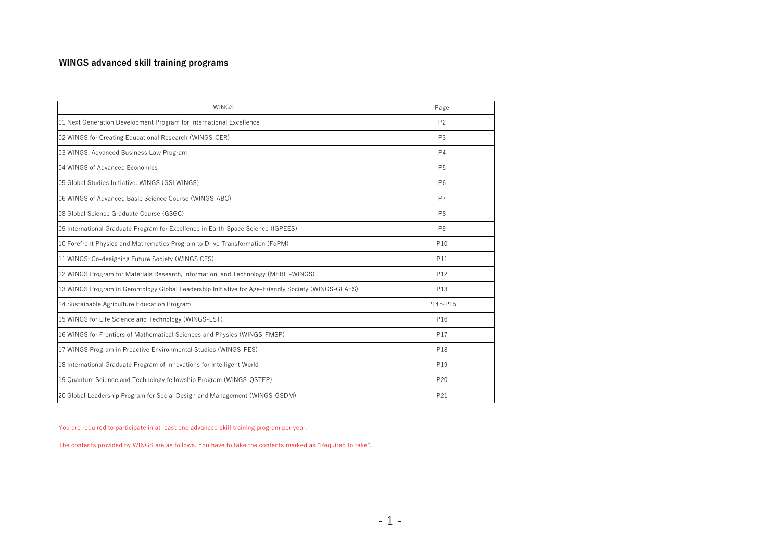## WINGS advanced skill training programs

| <b>WINGS</b>                                                                                        | Page           |
|-----------------------------------------------------------------------------------------------------|----------------|
| 01 Next Generation Development Program for International Excellence                                 | P <sub>2</sub> |
| 02 WINGS for Creating Educational Research (WINGS-CER)                                              | P <sub>3</sub> |
| 03 WINGS: Advanced Business Law Program                                                             | <b>P4</b>      |
| 04 WINGS of Advanced Economics                                                                      | P <sub>5</sub> |
| 05 Global Studies Initiative: WINGS (GSI WINGS)                                                     | P <sub>6</sub> |
| 06 WINGS of Advanced Basic Science Course (WINGS-ABC)                                               | P7             |
| 08 Global Science Graduate Course (GSGC)                                                            | P <sub>8</sub> |
| 09 International Graduate Program for Excellence in Earth-Space Science (IGPEES)                    | P <sub>9</sub> |
| 10 Forefront Physics and Mathematics Program to Drive Transformation (FoPM)                         | P10            |
| 11 WINGS: Co-designing Future Society (WINGS CFS)                                                   | P11            |
| 12 WINGS Program for Materials Research, Information, and Technology (MERIT-WINGS)                  | P12            |
| 13 WINGS Program in Gerontology Global Leadership Initiative for Age-Friendly Society (WINGS-GLAFS) | P13            |
| 14 Sustainable Agriculture Education Program                                                        | $P14 - P15$    |
| 15 WINGS for Life Science and Technology (WINGS-LST)                                                | P16            |
| 16 WINGS for Frontiers of Mathematical Sciences and Physics (WINGS-FMSP)                            | P17            |
| 17 WINGS Program in Proactive Environmental Studies (WINGS-PES)                                     | P18            |
| 18 International Graduate Program of Innovations for Intelligent World                              | P19            |
| 19 Quantum Science and Technology fellowship Program (WINGS-QSTEP)                                  | P20            |
| 20 Global Leadership Program for Social Design and Management (WINGS-GSDM)                          | P21            |

You are required to participate in at least one advanced skill training program per year.

The contents provided by WINGS are as follows. You have to take the contents marked as "Required to take".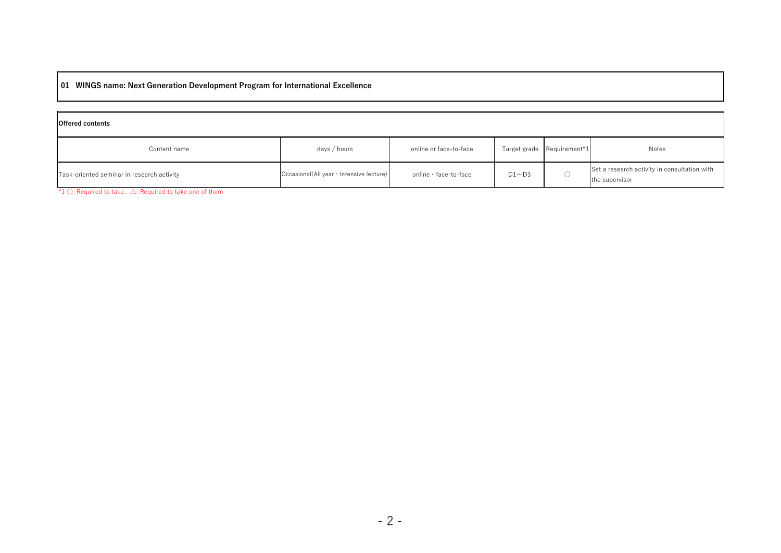## 01 WINGS name: Next Generation Development Program for International Excellence

| <b>Offered contents</b>                    |                                           |                        |              |                            |                                                                |
|--------------------------------------------|-------------------------------------------|------------------------|--------------|----------------------------|----------------------------------------------------------------|
| Content name                               | days / hours                              | online or face-to-face |              | Target grade Requirement*1 | Notes                                                          |
| Task-oriented seminar in research activity | Occasional (All year · Intensive lecture) | online · face-to-face  | $D1 \sim D3$ |                            | Set a research activity in consultation with<br>the supervisor |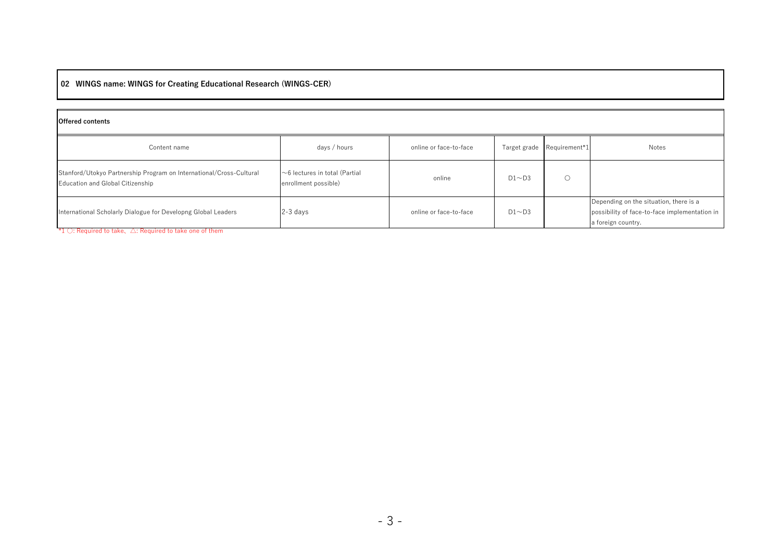# 02 WINGS name: WINGS for Creating Educational Research (WINGS-CER)

| <b>Offered contents</b>                                                                                 |                                                             |                        |              |                            |                                                                                                               |  |  |
|---------------------------------------------------------------------------------------------------------|-------------------------------------------------------------|------------------------|--------------|----------------------------|---------------------------------------------------------------------------------------------------------------|--|--|
| Content name                                                                                            | days / hours                                                | online or face-to-face |              | Target grade Requirement*1 | Notes                                                                                                         |  |  |
| Stanford/Utokyo Partnership Program on International/Cross-Cultural<br>Education and Global Citizenship | $\sim$ 6 lectures in total (Partial<br>enrollment possible) | online                 | $D1 \sim D3$ |                            |                                                                                                               |  |  |
| International Scholarly Dialogue for Developng Global Leaders                                           | $2-3$ days                                                  | online or face-to-face | $D1 \sim D3$ |                            | Depending on the situation, there is a<br>possibility of face-to-face implementation in<br>a foreign country. |  |  |

\*1  $\bigcirc$ : Required to take,  $\bigtriangleup$ : Required to take one of them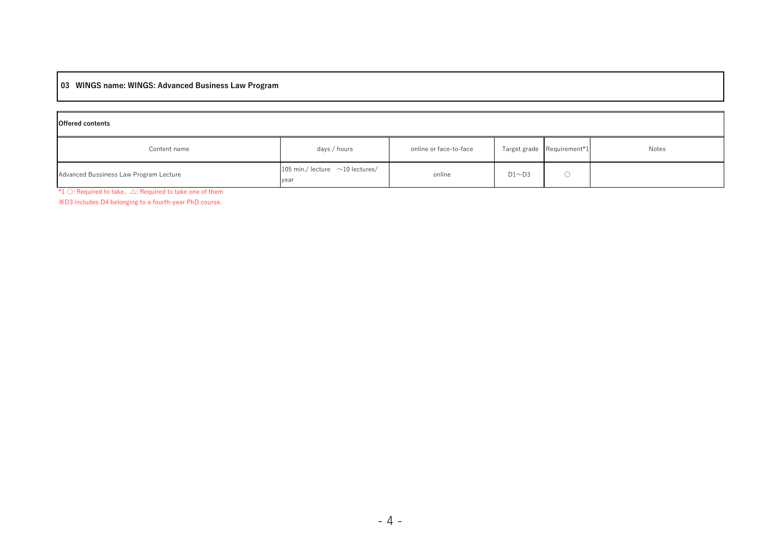## 03 WINGS name: WINGS: Advanced Business Law Program

| <b>Offered contents</b>                |                                               |                        |              |                            |       |  |  |
|----------------------------------------|-----------------------------------------------|------------------------|--------------|----------------------------|-------|--|--|
| Content name                           | days / hours                                  | online or face-to-face |              | Target grade Requirement*1 | Notes |  |  |
| Advanced Bussiness Law Program Lecture | 105 min./ lecture $\sim$ 10 lectures/<br>year | online                 | $D1 \sim D3$ |                            |       |  |  |

\*1 ○: Required to take、△: Required to take one of them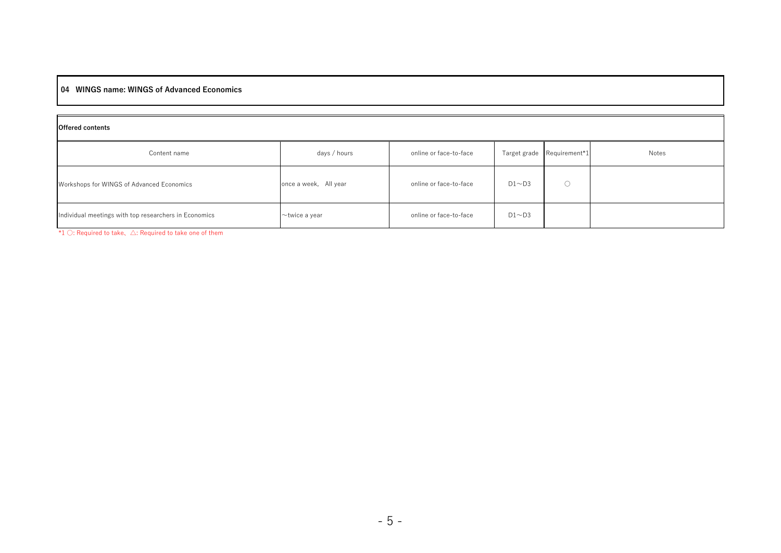#### 04 WINGS name: WINGS of Advanced Economics

| <b>Offered contents</b>                               |                       |                        |              |               |       |  |  |
|-------------------------------------------------------|-----------------------|------------------------|--------------|---------------|-------|--|--|
| Content name                                          | days / hours          | online or face-to-face | Target grade | Requirement*1 | Notes |  |  |
| Workshops for WINGS of Advanced Economics             | once a week, All year | online or face-to-face | $D1 \sim D3$ |               |       |  |  |
| Individual meetings with top researchers in Economics | $\sim$ twice a year   | online or face-to-face | $D1 \sim D3$ |               |       |  |  |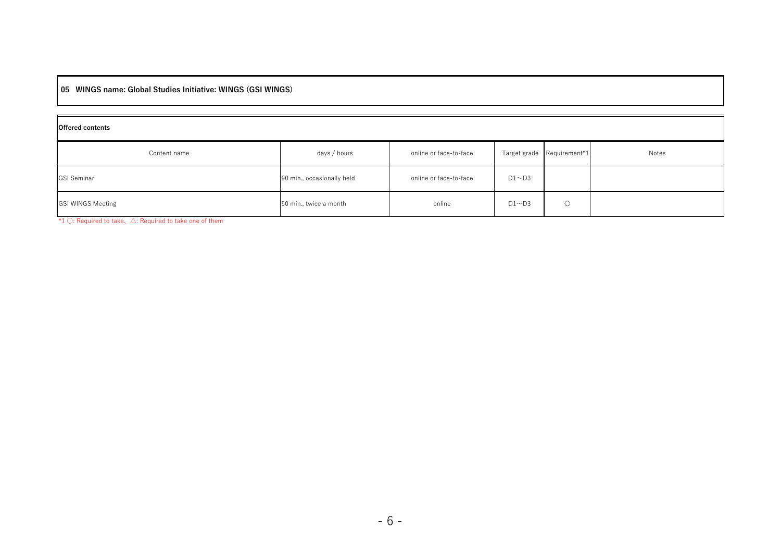05 WINGS name: Global Studies Initiative: WINGS (GSI WINGS)

| <b>Offered contents</b>  |                            |                        |              |                            |       |  |  |
|--------------------------|----------------------------|------------------------|--------------|----------------------------|-------|--|--|
| Content name             | days / hours               | online or face-to-face |              | Target grade Requirement*1 | Notes |  |  |
| <b>GSI Seminar</b>       | 90 min., occasionally held | online or face-to-face | $D1 \sim D3$ |                            |       |  |  |
| <b>GSI WINGS Meeting</b> | 50 min., twice a month     | online                 | $D1 \sim D3$ | $\circ$                    |       |  |  |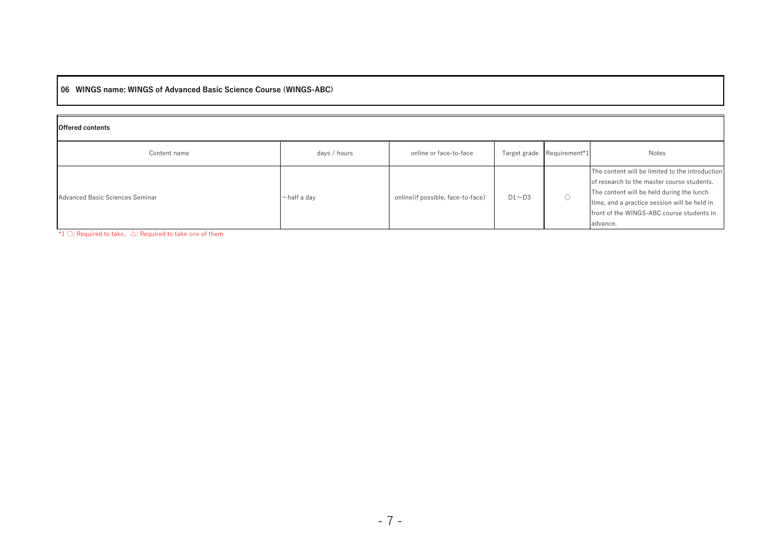06 WINGS name: WINGS of Advanced Basic Science Course (WINGS-ABC)

| <b>Offered contents</b>         |                   |                                   |              |                            |                                                                                                                                                                                                                                                     |  |  |
|---------------------------------|-------------------|-----------------------------------|--------------|----------------------------|-----------------------------------------------------------------------------------------------------------------------------------------------------------------------------------------------------------------------------------------------------|--|--|
| Content name                    | days / hours      | online or face-to-face            |              | Target grade Requirement*1 | Notes                                                                                                                                                                                                                                               |  |  |
| Advanced Basic Sciences Seminar | $\sim$ half a day | online(if possible, face-to-face) | $D1 \sim D3$ |                            | The content will be limited to the introduction<br>of research to the master course students.<br>The content will be held during the lunch<br>time, and a practice session will be held in<br>front of the WINGS-ABC course students in<br>advance. |  |  |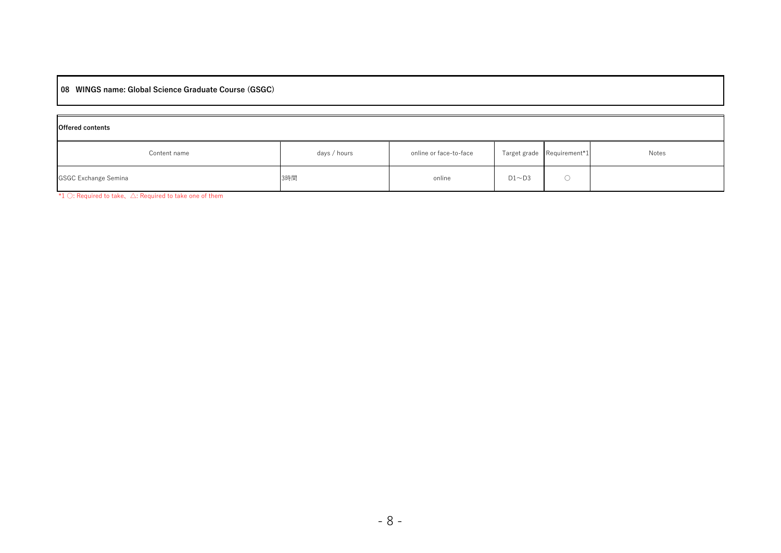#### 08 WINGS name: Global Science Graduate Course (GSGC)

| <b>Offered contents</b>     |              |                        |              |                            |       |  |
|-----------------------------|--------------|------------------------|--------------|----------------------------|-------|--|
| Content name                | days / hours | online or face-to-face |              | Target grade Requirement*1 | Notes |  |
| <b>GSGC Exchange Semina</b> | 3時間          | online                 | $D1 \sim D3$ |                            |       |  |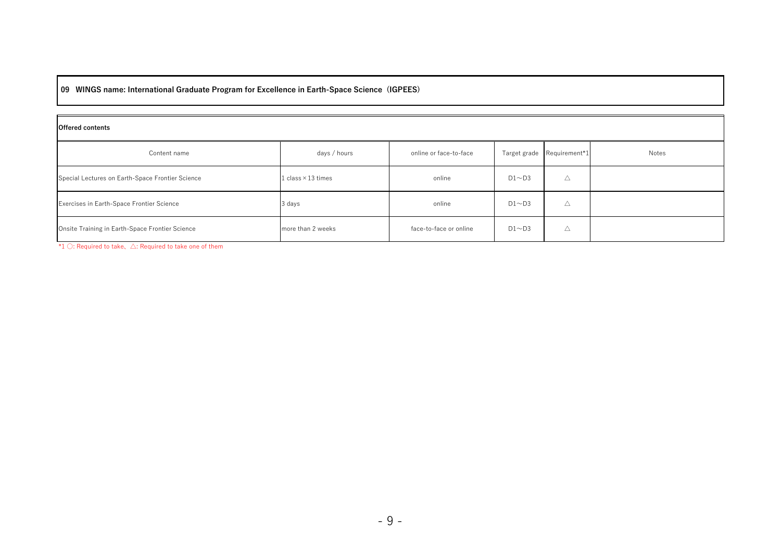09 WINGS name: International Graduate Program for Excellence in Earth-Space Science (IGPEES)

| <b>Offered contents</b>                                                                                                                                                                                                                                                                                              |                           |                        |              |               |       |  |  |
|----------------------------------------------------------------------------------------------------------------------------------------------------------------------------------------------------------------------------------------------------------------------------------------------------------------------|---------------------------|------------------------|--------------|---------------|-------|--|--|
| Content name                                                                                                                                                                                                                                                                                                         | days / hours              | online or face-to-face | Target grade | Requirement*1 | Notes |  |  |
| Special Lectures on Earth-Space Frontier Science                                                                                                                                                                                                                                                                     | 1 class $\times$ 13 times | online                 | $D1 \sim D3$ | Δ             |       |  |  |
| Exercises in Earth-Space Frontier Science                                                                                                                                                                                                                                                                            | 3 days                    | online                 | $D1 \sim D3$ | Δ             |       |  |  |
| Onsite Training in Earth-Space Frontier Science<br>$\mathcal{A} = \mathcal{A} \mathcal{A}$ and $\mathcal{A} = \mathcal{A} \mathcal{A}$ . The contract of the contract of the contract of the contract of the contract of the contract of the contract of the contract of the contract of the contract of the contrac | more than 2 weeks         | face-to-face or online | $D1 \sim D3$ | Δ             |       |  |  |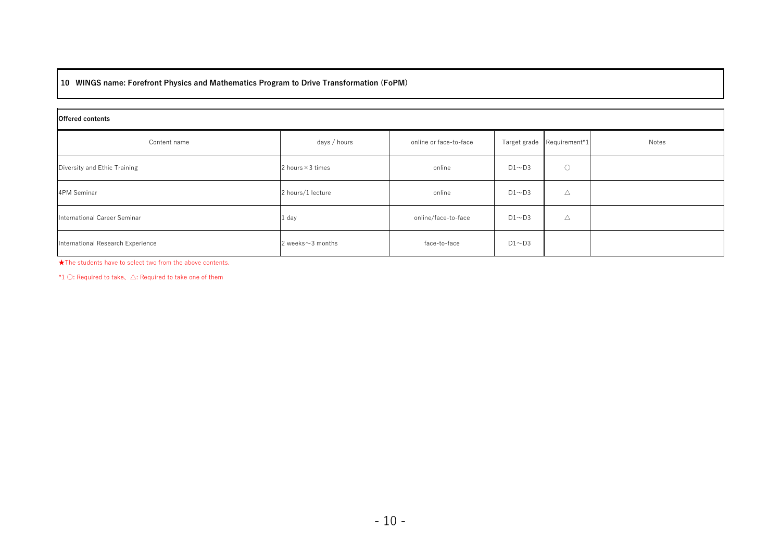## 10 WINGS name: Forefront Physics and Mathematics Program to Drive Transformation (FoPM)

| <b>Offered contents</b>           |                          |                        |              |                            |       |  |  |
|-----------------------------------|--------------------------|------------------------|--------------|----------------------------|-------|--|--|
| Content name                      | days / hours             | online or face-to-face |              | Target grade Requirement*1 | Notes |  |  |
| Diversity and Ethic Training      | 2 hours $\times$ 3 times | online                 | $D1 \sim D3$ | $\circ$                    |       |  |  |
| 4PM Seminar                       | 2 hours/1 lecture        | online                 | $D1 \sim D3$ | Δ                          |       |  |  |
| International Career Seminar      | 1 day                    | online/face-to-face    | $D1 \sim D3$ | $\triangle$                |       |  |  |
| International Research Experience | 2 weeks $\sim$ 3 months  | face-to-face           | $D1 \sim D3$ |                            |       |  |  |

★The students have to select two from the above contents.

 $*1$  ○: Required to take,  $\triangle$ : Required to take one of them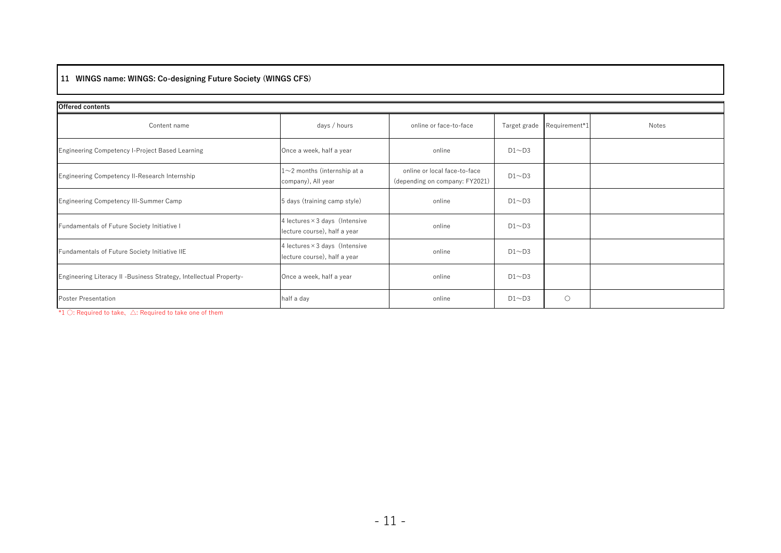## 11 WINGS name: WINGS: Co-designing Future Society (WINGS CFS)

| <b>Offered contents</b>                                            |                                                                       |                                                                |              |                            |       |  |  |  |
|--------------------------------------------------------------------|-----------------------------------------------------------------------|----------------------------------------------------------------|--------------|----------------------------|-------|--|--|--|
| Content name                                                       | days / hours                                                          | online or face-to-face                                         |              | Target grade Requirement*1 | Notes |  |  |  |
| Engineering Competency I-Project Based Learning                    | Once a week, half a year                                              | online                                                         | $D1 \sim D3$ |                            |       |  |  |  |
| Engineering Competency II-Research Internship                      | $1 \sim$ 2 months (internship at a<br>company), All year              | online or local face-to-face<br>(depending on company: FY2021) | $D1 \sim D3$ |                            |       |  |  |  |
| Engineering Competency III-Summer Camp                             | 5 days (training camp style)                                          | online                                                         | $D1 \sim D3$ |                            |       |  |  |  |
| Fundamentals of Future Society Initiative I                        | 4 lectures $\times$ 3 days (Intensive<br>lecture course), half a year | online                                                         | $D1 \sim D3$ |                            |       |  |  |  |
| Fundamentals of Future Society Initiative IIE                      | 4 lectures $\times$ 3 days (Intensive<br>lecture course), half a year | online                                                         | $D1 \sim D3$ |                            |       |  |  |  |
| Engineering Literacy II -Business Strategy, Intellectual Property- | Once a week, half a year                                              | online                                                         | $D1 \sim D3$ |                            |       |  |  |  |
| <b>Poster Presentation</b>                                         | half a day                                                            | online                                                         | $D1 \sim D3$ | $\circ$                    |       |  |  |  |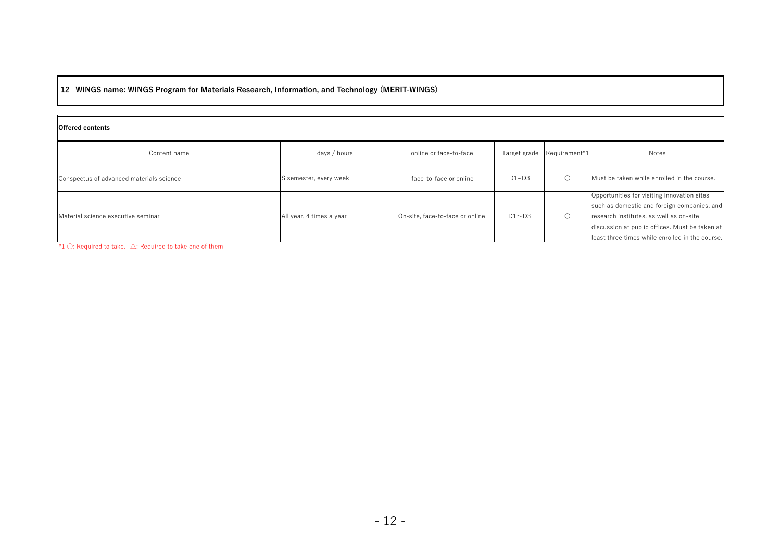12 WINGS name: WINGS Program for Materials Research, Information, and Technology (MERIT-WINGS)

| <b>Offered contents</b>                  |                          |                                 |              |               |                                                                                                                                                                                                                                            |  |
|------------------------------------------|--------------------------|---------------------------------|--------------|---------------|--------------------------------------------------------------------------------------------------------------------------------------------------------------------------------------------------------------------------------------------|--|
| Content name                             | days / hours             | online or face-to-face          | Target grade | Requirement*1 | Notes                                                                                                                                                                                                                                      |  |
| Conspectus of advanced materials science | S semester, every week   | face-to-face or online          | D1~D3        |               | Must be taken while enrolled in the course.                                                                                                                                                                                                |  |
| Material science executive seminar       | All year, 4 times a year | On-site, face-to-face or online | $D1 \sim D3$ | O             | Opportunities for visiting innovation sites<br>such as domestic and foreign companies, and<br>research institutes, as well as on-site<br>discussion at public offices. Must be taken at<br>least three times while enrolled in the course. |  |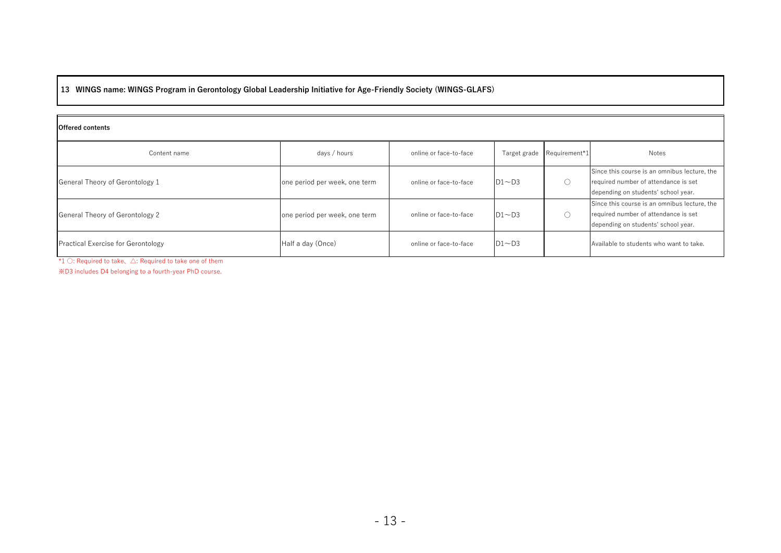13 WINGS name: WINGS Program in Gerontology Global Leadership Initiative for Age-Friendly Society (WINGS-GLAFS)

| <b>Offered contents</b>            |                               |                        |              |                            |                                                                                                                             |  |
|------------------------------------|-------------------------------|------------------------|--------------|----------------------------|-----------------------------------------------------------------------------------------------------------------------------|--|
| Content name                       | days / hours                  | online or face-to-face |              | Target grade Requirement*1 | Notes                                                                                                                       |  |
| General Theory of Gerontology 1    | one period per week, one term | online or face-to-face | $D1 \sim D3$ |                            | Since this course is an omnibus lecture, the<br>required number of attendance is set<br>depending on students' school year. |  |
| General Theory of Gerontology 2    | one period per week, one term | online or face-to-face | $D1 \sim D3$ |                            | Since this course is an omnibus lecture, the<br>required number of attendance is set<br>depending on students' school year. |  |
| Practical Exercise for Gerontology | Half a day (Once)             | online or face-to-face | $D1 \sim D3$ |                            | Available to students who want to take.                                                                                     |  |

\*1 ○: Required to take、△: Required to take one of them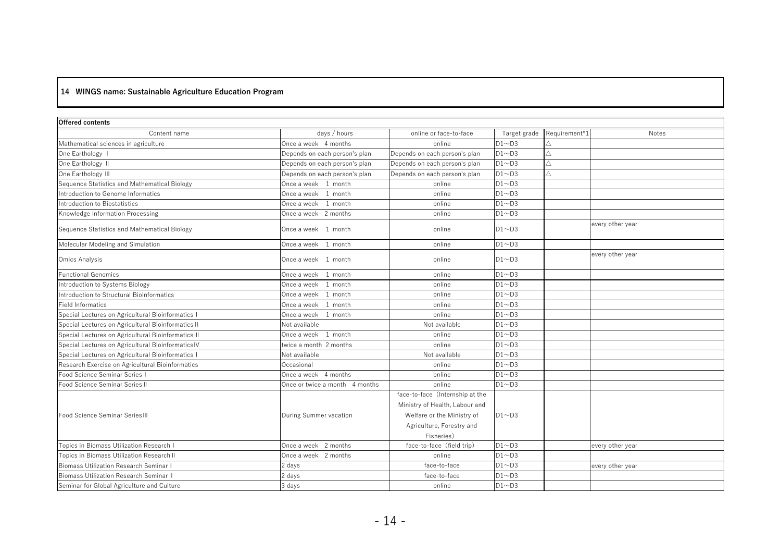## 14 WINGS name: Sustainable Agriculture Education Program

| Offered contents                                    |                                |                                 |              |               |                  |
|-----------------------------------------------------|--------------------------------|---------------------------------|--------------|---------------|------------------|
| Content name                                        | days / hours                   | online or face-to-face          | Target grade | Requirement*1 | <b>Notes</b>     |
| Mathematical sciences in agriculture                | Once a week 4 months           | online                          | $D1 \sim D3$ |               |                  |
| One Earthology I                                    | Depends on each person's plan  | Depends on each person's plan   | $D1 \sim D3$ | Л             |                  |
| One Earthology II                                   | Depends on each person's plan  | Depends on each person's plan   | $D1 \sim D3$ | Л             |                  |
| One Earthology III                                  | Depends on each person's plan  | Depends on each person's plan   | $D1 \sim D3$ | Л             |                  |
| Sequence Statistics and Mathematical Biology        | Once a week 1 month            | online                          | $D1 \sim D3$ |               |                  |
| Introduction to Genome Informatics                  | Once a week 1 month            | online                          | $D1 \sim D3$ |               |                  |
| Introduction to Biostatistics                       | 1 month<br>Once a week         | online                          | $D1 \sim D3$ |               |                  |
| Knowledge Information Processing                    | Once a week 2 months           | online                          | $D1 \sim D3$ |               |                  |
| Sequence Statistics and Mathematical Biology        | Once a week 1 month            | online                          | $D1 \sim D3$ |               | every other year |
| Molecular Modeling and Simulation                   | Once a week 1 month            | online                          | $D1 \sim D3$ |               |                  |
| Omics Analysis                                      | Once a week 1 month            | online                          | $D1 \sim D3$ |               | every other year |
| <b>Functional Genomics</b>                          | Once a week 1 month            | online                          | $D1 \sim D3$ |               |                  |
| Introduction to Systems Biology                     | Once a week 1 month            | online                          | $D1 \sim D3$ |               |                  |
| Introduction to Structural Bioinformatics           | 1 month<br>Once a week         | online                          | $D1 \sim D3$ |               |                  |
| <b>Field Informatics</b>                            | Once a week<br>1 month         | online                          | $D1 \sim D3$ |               |                  |
| Special Lectures on Agricultural Bioinformatics I   | Once a week<br>1 month         | online                          | $D1 \sim D3$ |               |                  |
| Special Lectures on Agricultural Bioinformatics II  | Not available                  | Not available                   | $D1 \sim D3$ |               |                  |
| Special Lectures on Agricultural Bioinformatics III | Once a week 1 month            | online                          | $D1 \sim D3$ |               |                  |
| Special Lectures on Agricultural BioinformaticsIV   | twice a month 2 months         | online                          | $D1 \sim D3$ |               |                  |
| Special Lectures on Agricultural Bioinformatics I   | Not available                  | Not available                   | $D1 \sim D3$ |               |                  |
| Research Exercise on Agricultural Bioinformatics    | Occasional                     | online                          | $D1 \sim D3$ |               |                  |
| Food Science Seminar Series I                       | Once a week 4 months           | online                          | $D1 \sim D3$ |               |                  |
| Food Science Seminar Series II                      | Once or twice a month 4 months | online                          | $D1 \sim D3$ |               |                  |
|                                                     |                                | face-to-face (Internship at the |              |               |                  |
|                                                     |                                | Ministry of Health, Labour and  |              |               |                  |
| Food Science Seminar Series III                     | During Summer vacation         | Welfare or the Ministry of      | $D1 \sim D3$ |               |                  |
|                                                     |                                | Agriculture, Forestry and       |              |               |                  |
|                                                     |                                | Fisheries)                      |              |               |                  |
| Topics in Biomass Utilization Research I            | Once a week 2 months           | face-to-face (field trip)       | $D1 \sim D3$ |               | every other year |
| Topics in Biomass Utilization Research II           | Once a week 2 months           | online                          | $D1 \sim D3$ |               |                  |
| <b>Biomass Utilization Research Seminar I</b>       | 2 days                         | face-to-face                    | $D1 \sim D3$ |               | every other year |
| <b>Biomass Utilization Research Seminar II</b>      | 2 days                         | face-to-face                    | $D1 \sim D3$ |               |                  |
| Seminar for Global Agriculture and Culture          | 3 days                         | online                          | $D1 \sim D3$ |               |                  |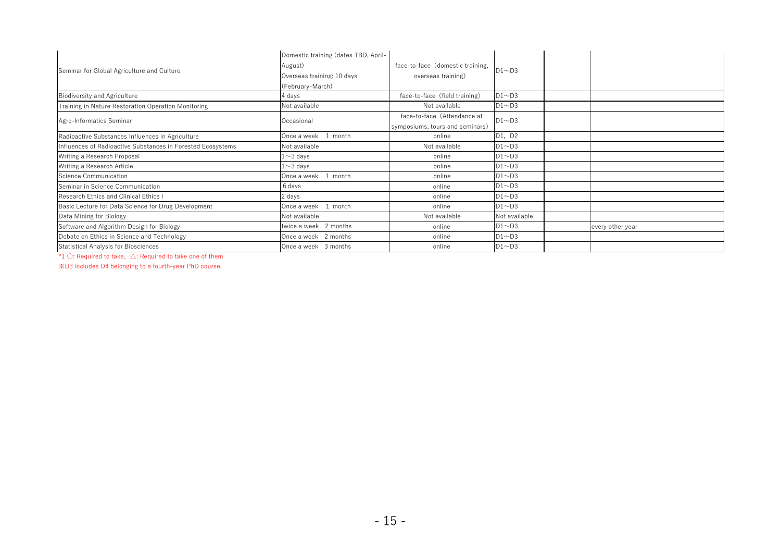| Seminar for Global Agriculture and Culture                  | Domestic training (dates TBD, April- |                                  |               |                  |
|-------------------------------------------------------------|--------------------------------------|----------------------------------|---------------|------------------|
|                                                             | August)                              | face-to-face (domestic training, | $D1 \sim D3$  |                  |
|                                                             | Overseas training: 10 days           | overseas training)               |               |                  |
|                                                             | (February-March)                     |                                  |               |                  |
| <b>Biodiversity and Agriculture</b>                         | 4 days                               | face-to-face (field training)    | $D1 \sim D3$  |                  |
| Training in Nature Restoration Operation Monitoring         | Not available                        | Not available                    | $D1 \sim D3$  |                  |
| Agro-Informatics Seminar                                    | Occasional                           | face-to-face (Attendance at      | $D1 \sim D3$  |                  |
|                                                             |                                      | symposiums, tours and seminars)  |               |                  |
| Radioactive Substances Influences in Agriculture            | Once a week<br>month                 | online                           | D1, D2        |                  |
| Influences of Radioactive Substances in Forested Ecosystems | Not available                        | Not available                    | $D1 \sim D3$  |                  |
| Writing a Research Proposal                                 | $1 \sim 3$ days                      | online                           | $D1 \sim D3$  |                  |
| Writing a Research Article                                  | $1\mathtt{\sim}3$ days               | online                           | $D1 \sim D3$  |                  |
| Science Communication                                       | Once a week<br>month                 | online                           | $D1 \sim D3$  |                  |
| Seminar in Science Communication                            | 6 days                               | online                           | $D1 \sim D3$  |                  |
| Research Ethics and Clinical Ethics I                       | 2 days                               | online                           | $D1 \sim D3$  |                  |
| Basic Lecture for Data Science for Drug Development         | Once a week<br>month                 | online                           | $D1 \sim D3$  |                  |
| Data Mining for Biology                                     | Not available                        | Not available                    | Not available |                  |
| Software and Algorithm Design for Biology                   | twice a week 2 months                | online                           | $D1 \sim D3$  | every other year |
| Debate on Ethics in Science and Technology                  | Once a week 2 months                 | online                           | $D1 \sim D3$  |                  |
| <b>Statistical Analysis for Biosciences</b>                 | Once a week 3 months                 | online                           | $D1 \sim D3$  |                  |

\*1 ○: Required to take、△: Required to take one of them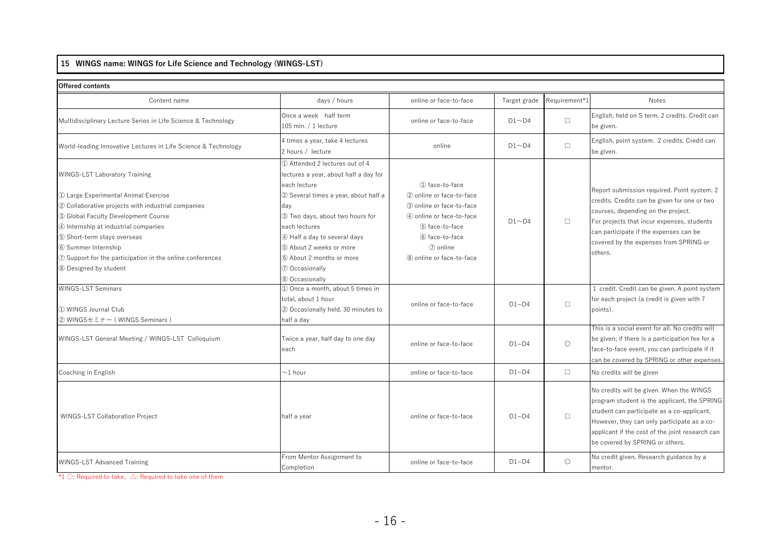## 15 WINGS name: WINGS for Life Science and Technology (WINGS-LST)

| <b>Offered contents</b>                                           |                                                                                          |                            |              |               |                                                                                                                                                                                                                                                                             |
|-------------------------------------------------------------------|------------------------------------------------------------------------------------------|----------------------------|--------------|---------------|-----------------------------------------------------------------------------------------------------------------------------------------------------------------------------------------------------------------------------------------------------------------------------|
| Content name                                                      | days / hours                                                                             | online or face-to-face     | Target grade | Requirement*1 | <b>Notes</b>                                                                                                                                                                                                                                                                |
| Multidisciplinary Lecture Series in Life Science & Technology     | Once a week half term<br>105 min. $/$ 1 lecture                                          | online or face-to-face     | $D1 \sim D4$ | $\Box$        | English, held on S term. 2 credits. Credit can<br>be given.                                                                                                                                                                                                                 |
| World-leading Innovative Lectures in Life Science & Technology    | 4 times a year, take 4 lectures<br>2 hours / lecture                                     | online                     | $D1 \sim D4$ | $\Box$        | English, point system. 2 credits. Credit can<br>be given.                                                                                                                                                                                                                   |
| <b>WINGS-LST Laboratory Training</b>                              | 10 Attended 2 lectures out of 4<br>lectures a year, about half a day for<br>each lecture | 1) face-to-face            |              |               |                                                                                                                                                                                                                                                                             |
| 1 Large Experimental Animal Exercise                              | 2 Several times a year, about half a                                                     | (2) online or face-to-face |              |               | Report submission required. Point system. 2<br>credits. Credits can be given for one or two                                                                                                                                                                                 |
| 2 Collaborative projects with industrial companies                | day                                                                                      | 3) online or face-to-face  |              |               | courses, depending on the project.                                                                                                                                                                                                                                          |
| 3 Global Faculty Development Course                               | 3) Two days, about two hours for                                                         | 4) online or face-to-face  | $D1 \sim D4$ | $\Box$        | For projects that incur expenses, students                                                                                                                                                                                                                                  |
| 4 Internship at industrial companies                              | each lectures                                                                            | 5) face-to-face            |              |               | can participate if the expenses can be                                                                                                                                                                                                                                      |
| 5 Short-term stays overseas                                       | 4 Half a day to several days                                                             | 6 face-to-face             |              |               | covered by the expenses from SPRING or                                                                                                                                                                                                                                      |
| 6 Summer Internship                                               | 5 About 2 weeks or more                                                                  | (7) online                 |              |               | others.                                                                                                                                                                                                                                                                     |
| $\oslash$ Support for the participation in the online conferences | 6 About 2 months or more                                                                 | 8 online or face-to-face   |              |               |                                                                                                                                                                                                                                                                             |
| 8 Designed by student                                             | 7 Occasionally                                                                           |                            |              |               |                                                                                                                                                                                                                                                                             |
|                                                                   | 8 Occasionally                                                                           |                            |              |               |                                                                                                                                                                                                                                                                             |
| <b>WINGS-LST Seminars</b>                                         | 1 Once a month, about 5 times in                                                         |                            |              |               | 1 credit. Credit can be given. A point system                                                                                                                                                                                                                               |
| 1 WINGS Journal Club<br>② WINGSセミナー (WINGS Seminars)              | total, about 1 hour<br>2 Occasionally held, 30 minutes to<br>half a day                  | online or face-to-face     | $D1 - D4$    | $\Box$        | for each project (a credit is given with 7<br>points).                                                                                                                                                                                                                      |
|                                                                   |                                                                                          |                            |              |               | This is a social event for all. No credits will                                                                                                                                                                                                                             |
| WINGS-LST General Meeting / WINGS-LST Colloquium                  | Twice a year, half day to one day<br>each                                                | online or face-to-face     | $D1 - D4$    | $\circ$       | be given; if there is a participation fee for a<br>face-to-face event, you can participate if it<br>can be covered by SPRING or other expenses.                                                                                                                             |
| Coaching in English                                               | $\sim$ 1 hour                                                                            | online or face-to-face     | D1~D4        | $\Box$        | No credits will be given                                                                                                                                                                                                                                                    |
| <b>WINGS-LST Collaboration Project</b>                            | half a year                                                                              | online or face-to-face     | $D1 - D4$    | $\Box$        | No credits will be given. When the WINGS<br>program student is the applicant, the SPRING<br>student can participate as a co-applicant.<br>However, they can only participate as a co-<br>applicant if the cost of the joint research can<br>be covered by SPRING or others. |
| <b>WINGS-LST Advanced Training</b>                                | From Mentor Assignment to<br>Completion                                                  | online or face-to-face     | $D1 - D4$    | $\circ$       | No credit given. Research guidance by a<br>mentor.                                                                                                                                                                                                                          |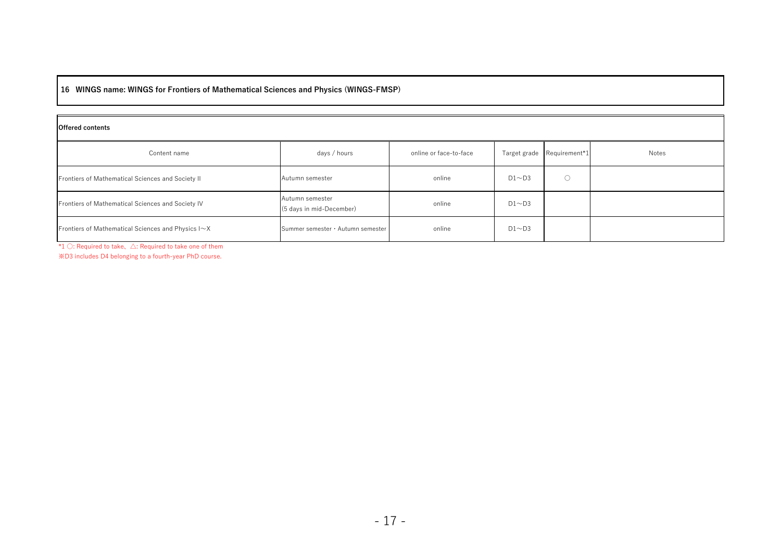#### 16 WINGS name: WINGS for Frontiers of Mathematical Sciences and Physics (WINGS-FMSP)

#### Offered contents

| Content name                                       | days / hours                                | online or face-to-face | Target grade | Requirement*1 | Notes |  |
|----------------------------------------------------|---------------------------------------------|------------------------|--------------|---------------|-------|--|
| Frontiers of Mathematical Sciences and Society II  | Autumn semester                             | online                 | $D1 \sim D3$ |               |       |  |
| Frontiers of Mathematical Sciences and Society IV  | Autumn semester<br>(5 days in mid-December) | online                 | $D1 \sim D3$ |               |       |  |
| Frontiers of Mathematical Sciences and Physics I~X | Summer semester · Autumn semester           | online                 | $D1 \sim D3$ |               |       |  |

\*1 ○: Required to take、△: Required to take one of them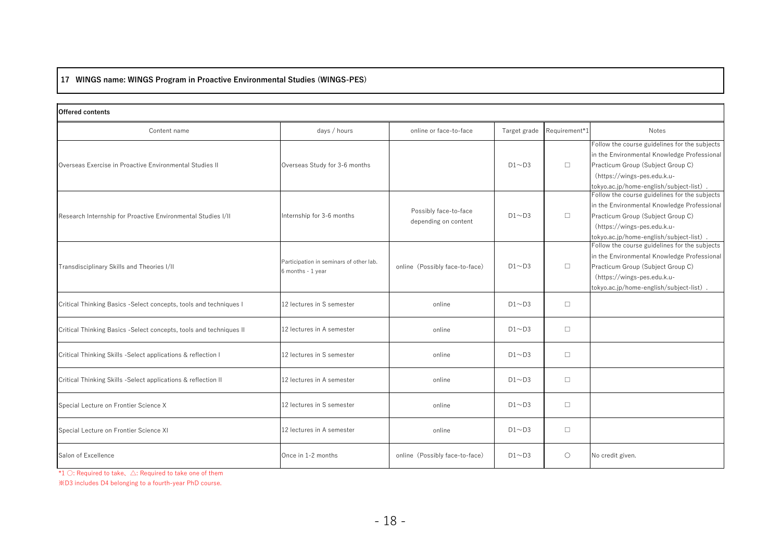#### 17 WINGS name: WINGS Program in Proactive Environmental Studies (WINGS-PES)

| <b>Offered contents</b>                                            |                                                              |                                               |              |               |                                                                                                                                                                                                             |
|--------------------------------------------------------------------|--------------------------------------------------------------|-----------------------------------------------|--------------|---------------|-------------------------------------------------------------------------------------------------------------------------------------------------------------------------------------------------------------|
| Content name                                                       | days / hours                                                 | online or face-to-face                        | Target grade | Requirement*1 | Notes                                                                                                                                                                                                       |
| Overseas Exercise in Proactive Environmental Studies II            | Overseas Study for 3-6 months                                |                                               | $D1 \sim D3$ | $\Box$        | Follow the course guidelines for the subjects<br>in the Environmental Knowledge Professional<br>Practicum Group (Subject Group C)<br>(https://wings-pes.edu.k.u-<br>tokyo.ac.jp/home-english/subject-list). |
| Research Internship for Proactive Environmental Studies I/II       | Internship for 3-6 months                                    | Possibly face-to-face<br>depending on content | $D1 \sim D3$ | $\Box$        | Follow the course guidelines for the subjects<br>in the Environmental Knowledge Professional<br>Practicum Group (Subject Group C)<br>(https://wings-pes.edu.k.u-<br>tokyo.ac.jp/home-english/subject-list). |
| Transdisciplinary Skills and Theories I/II                         | Participation in seminars of other lab.<br>6 months - 1 year | online (Possibly face-to-face)                | $D1 \sim D3$ | $\Box$        | Follow the course guidelines for the subjects<br>in the Environmental Knowledge Professional<br>Practicum Group (Subject Group C)<br>(https://wings-pes.edu.k.u-<br>tokyo.ac.jp/home-english/subject-list). |
| Critical Thinking Basics -Select concepts, tools and techniques I  | 12 lectures in S semester                                    | online                                        | $D1 \sim D3$ | $\Box$        |                                                                                                                                                                                                             |
| Critical Thinking Basics -Select concepts, tools and techniques II | 12 lectures in A semester                                    | online                                        | $D1 \sim D3$ | $\Box$        |                                                                                                                                                                                                             |
| Critical Thinking Skills -Select applications & reflection I       | 12 lectures in S semester                                    | online                                        | $D1 \sim D3$ | $\Box$        |                                                                                                                                                                                                             |
| Critical Thinking Skills -Select applications & reflection II      | 12 lectures in A semester                                    | online                                        | $D1 \sim D3$ | $\Box$        |                                                                                                                                                                                                             |
| Special Lecture on Frontier Science X                              | 12 lectures in S semester                                    | online                                        | $D1 \sim D3$ | $\Box$        |                                                                                                                                                                                                             |
| Special Lecture on Frontier Science XI                             | 12 lectures in A semester                                    | online                                        | $D1 \sim D3$ | $\Box$        |                                                                                                                                                                                                             |
| Salon of Excellence                                                | Once in 1-2 months                                           | online (Possibly face-to-face)                | $D1 \sim D3$ | $\circ$       | No credit given.                                                                                                                                                                                            |

\*1 ○: Required to take、△: Required to take one of them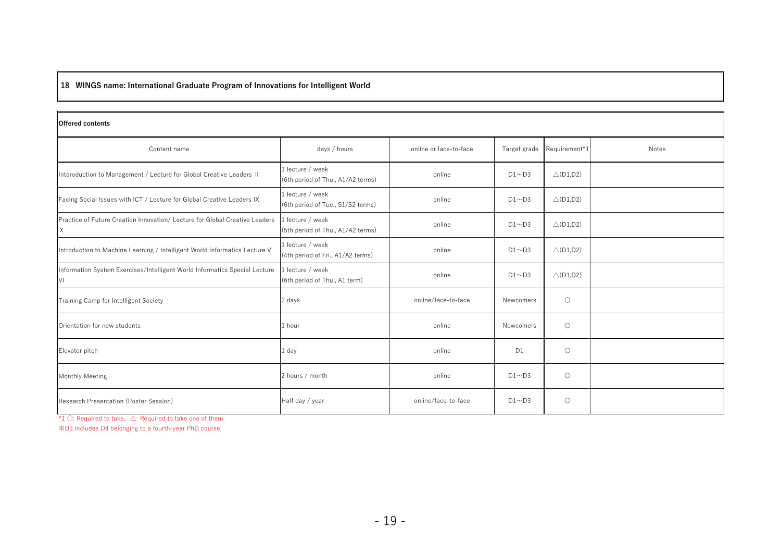## 18 WINGS name: International Graduate Program of Innovations for Intelligent World

#### Offered contents

| Content name                                                                     | days / hours                                          | online or face-to-face | Target grade   | Requirement*1       | Notes |
|----------------------------------------------------------------------------------|-------------------------------------------------------|------------------------|----------------|---------------------|-------|
| Intoroduction to Management / Lecture for Global Creative Leaders II             | 1 lecture / week<br>(6th period of Thu., A1/A2 terms) | online                 | $D1 \sim D3$   | $\triangle$ (D1,D2) |       |
| Facing Social Issues with ICT / Lecture for Global Creative Leaders IX           | 1 lecture / week<br>(6th period of Tue., S1/S2 terms) | online                 | $D1 \sim D3$   | $\triangle$ (D1,D2) |       |
| Practice of Future Creation Innovation/ Lecture for Global Creative Leaders<br>X | 1 lecture / week<br>(5th period of Thu., A1/A2 terms) | online                 | $D1 \sim D3$   | $\triangle$ (D1,D2) |       |
| Introduction to Machine Learning / Intelligent World Informatics Lecture V       | 1 lecture / week<br>(4th period of Fri., A1/A2 terms) | online                 | $D1 \sim D3$   | $\triangle$ (D1,D2) |       |
| Information System Exercises/Intelligent World Informatics Special Lecture<br>VI | 1 lecture / week<br>(6th period of Thu., A1 term)     | online                 | $D1 \sim D3$   | $\triangle$ (D1,D2) |       |
| Training Camp for Intelligent Society                                            | 2 days                                                | online/face-to-face    | Newcomers      | $\circ$             |       |
| Orientation for new students                                                     | 1 hour                                                | online                 | Newcomers      | $\circ$             |       |
| Elevator pitch                                                                   | 1 day                                                 | online                 | D <sub>1</sub> | $\circ$             |       |
| <b>Monthly Meeting</b>                                                           | 2 hours / month                                       | online                 | $D1 \sim D3$   | $\circ$             |       |
| Research Presentation (Poster Session)                                           | Half day / year                                       | online/face-to-face    | $D1 \sim D3$   | $\circ$             |       |

\*1 ○: Required to take、△: Required to take one of them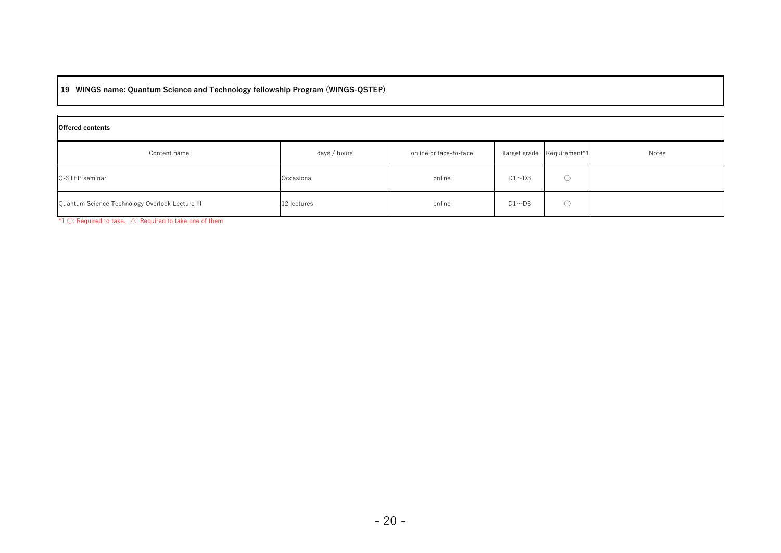19 WINGS name: Quantum Science and Technology fellowship Program (WINGS-QSTEP)

| <b>Offered contents</b>                         |              |                        |              |                            |       |  |
|-------------------------------------------------|--------------|------------------------|--------------|----------------------------|-------|--|
| Content name                                    | days / hours | online or face-to-face |              | Target grade Requirement*1 | Notes |  |
| Q-STEP seminar                                  | Occasional   | online                 | $D1 \sim D3$ |                            |       |  |
| Quantum Science Technology Overlook Lecture III | 12 lectures  | online                 | $D1 \sim D3$ |                            |       |  |